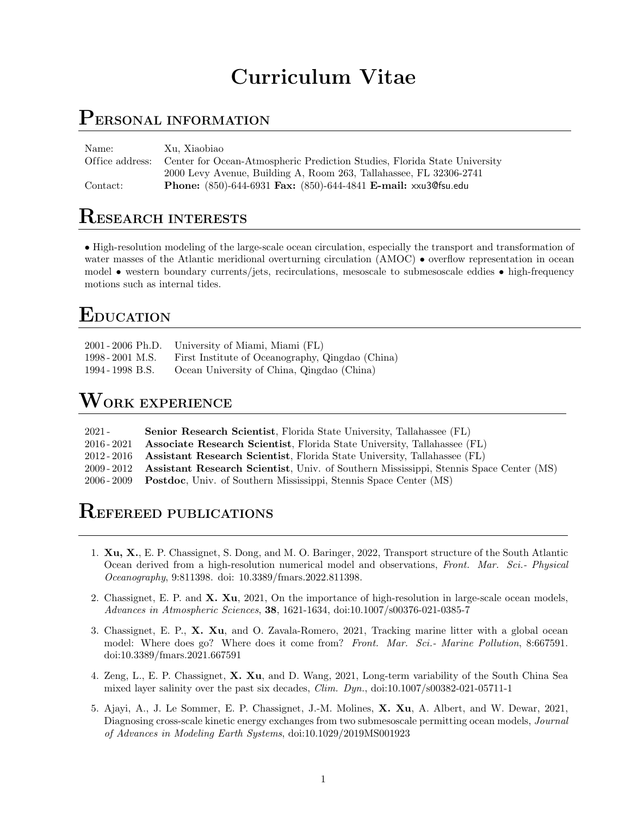# Curriculum Vitae

#### PERSONAL INFORMATION

| Name:           | Xu. Xiaobiao                                                              |
|-----------------|---------------------------------------------------------------------------|
| Office address: | Center for Ocean-Atmospheric Prediction Studies, Florida State University |
|                 | 2000 Levy Avenue, Building A, Room 263, Tallahassee, FL 32306-2741        |
| Contact:        | Phone: (850)-644-6931 Fax: (850)-644-4841 E-mail: xxu3@fsu.edu            |

## RESEARCH INTERESTS

• High-resolution modeling of the large-scale ocean circulation, especially the transport and transformation of water masses of the Atlantic meridional overturning circulation (AMOC) • overflow representation in ocean model • western boundary currents/jets, recirculations, mesoscale to submesoscale eddies • high-frequency motions such as internal tides.

# EDUCATION

| 2001 - 2006 Ph.D. | University of Miami, Miami (FL)                  |
|-------------------|--------------------------------------------------|
| 1998 - 2001 M.S.  | First Institute of Oceanography, Qingdao (China) |
| 1994 - 1998 B.S.  | Ocean University of China, Qingdao (China)       |

# $\mathbf W$ ork experience

| $2021 -$      | <b>Senior Research Scientist</b> , Florida State University, Tallahassee (FL)                    |
|---------------|--------------------------------------------------------------------------------------------------|
| $2016 - 2021$ | <b>Associate Research Scientist</b> , Florida State University, Tallahassee (FL)                 |
|               | 2012-2016 Assistant Research Scientist, Florida State University, Tallahassee (FL)               |
|               | 2009-2012 Assistant Research Scientist, Univ. of Southern Mississippi, Stennis Space Center (MS) |
|               | 2006-2009 Postdoc, Univ. of Southern Mississippi, Stennis Space Center (MS)                      |

### REFEREED PUBLICATIONS

- 1. Xu, X., E. P. Chassignet, S. Dong, and M. O. Baringer, 2022, Transport structure of the South Atlantic Ocean derived from a high-resolution numerical model and observations, Front. Mar. Sci.- Physical Oceanography, 9:811398. doi: 10.3389/fmars.2022.811398.
- 2. Chassignet, E. P. and X. Xu, 2021, On the importance of high-resolution in large-scale ocean models, Advances in Atmospheric Sciences, 38, 1621-1634, doi:10.1007/s00376-021-0385-7
- 3. Chassignet, E. P., X. Xu, and O. Zavala-Romero, 2021, Tracking marine litter with a global ocean model: Where does go? Where does it come from? Front. Mar. Sci.- Marine Pollution, 8:667591. doi:10.3389/fmars.2021.667591
- 4. Zeng, L., E. P. Chassignet, X. Xu, and D. Wang, 2021, Long-term variability of the South China Sea mixed layer salinity over the past six decades, *Clim. Dyn.*, doi:10.1007/s00382-021-05711-1
- 5. Ajayi, A., J. Le Sommer, E. P. Chassignet, J.-M. Molines, X. Xu, A. Albert, and W. Dewar, 2021, Diagnosing cross-scale kinetic energy exchanges from two submesoscale permitting ocean models, Journal of Advances in Modeling Earth Systems, doi:10.1029/2019MS001923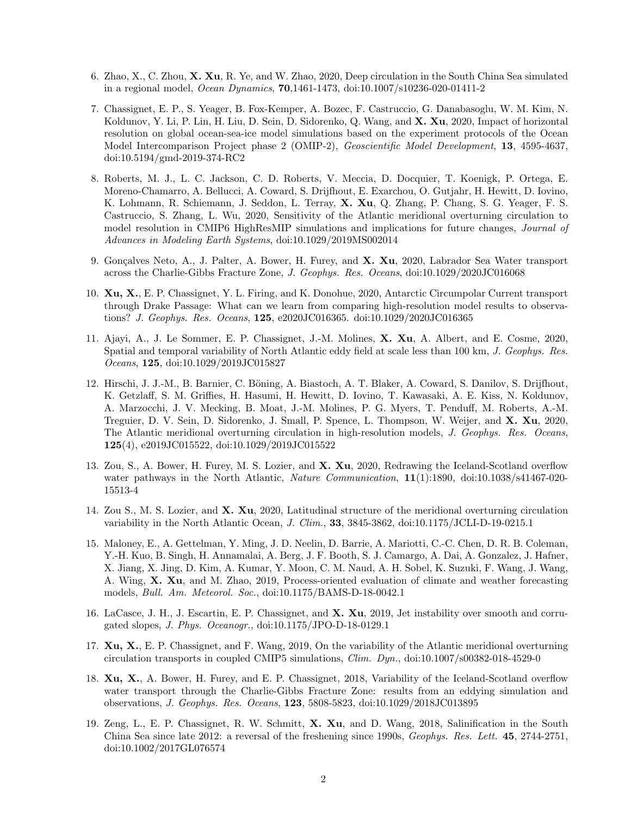- 6. Zhao, X., C. Zhou, X. Xu, R. Ye, and W. Zhao, 2020, Deep circulation in the South China Sea simulated in a regional model, Ocean Dynamics, 70,1461-1473, doi:10.1007/s10236-020-01411-2
- 7. Chassignet, E. P., S. Yeager, B. Fox-Kemper, A. Bozec, F. Castruccio, G. Danabasoglu, W. M. Kim, N. Koldunov, Y. Li, P. Lin, H. Liu, D. Sein, D. Sidorenko, Q. Wang, and X. Xu, 2020, Impact of horizontal resolution on global ocean-sea-ice model simulations based on the experiment protocols of the Ocean Model Intercomparison Project phase 2 (OMIP-2), *Geoscientific Model Development*, 13, 4595-4637, doi:10.5194/gmd-2019-374-RC2
- 8. Roberts, M. J., L. C. Jackson, C. D. Roberts, V. Meccia, D. Docquier, T. Koenigk, P. Ortega, E. Moreno-Chamarro, A. Bellucci, A. Coward, S. Drijfhout, E. Exarchou, O. Gutjahr, H. Hewitt, D. Iovino, K. Lohmann, R. Schiemann, J. Seddon, L. Terray, X. Xu, Q. Zhang, P. Chang, S. G. Yeager, F. S. Castruccio, S. Zhang, L. Wu, 2020, Sensitivity of the Atlantic meridional overturning circulation to model resolution in CMIP6 HighResMIP simulations and implications for future changes, Journal of Advances in Modeling Earth Systems, doi:10.1029/2019MS002014
- 9. Gonçalves Neto, A., J. Palter, A. Bower, H. Furey, and X. Xu, 2020, Labrador Sea Water transport across the Charlie-Gibbs Fracture Zone, J. Geophys. Res. Oceans, doi:10.1029/2020JC016068
- 10. Xu, X., E. P. Chassignet, Y. L. Firing, and K. Donohue, 2020, Antarctic Circumpolar Current transport through Drake Passage: What can we learn from comparing high-resolution model results to observations? J. Geophys. Res. Oceans, 125, e2020JC016365. doi:10.1029/2020JC016365
- 11. Ajayi, A., J. Le Sommer, E. P. Chassignet, J.-M. Molines, X. Xu, A. Albert, and E. Cosme, 2020, Spatial and temporal variability of North Atlantic eddy field at scale less than 100 km, J. Geophys. Res. Oceans, 125, doi:10.1029/2019JC015827
- 12. Hirschi, J. J.-M., B. Barnier, C. Böning, A. Biastoch, A. T. Blaker, A. Coward, S. Danilov, S. Drijfhout, K. Getzlaff, S. M. Griffies, H. Hasumi, H. Hewitt, D. Iovino, T. Kawasaki, A. E. Kiss, N. Koldunov, A. Marzocchi, J. V. Mecking, B. Moat, J.-M. Molines, P. G. Myers, T. Penduff, M. Roberts, A.-M. Treguier, D. V. Sein, D. Sidorenko, J. Small, P. Spence, L. Thompson, W. Weijer, and X. Xu, 2020, The Atlantic meridional overturning circulation in high-resolution models, J. Geophys. Res. Oceans, 125(4), e2019JC015522, doi:10.1029/2019JC015522
- 13. Zou, S., A. Bower, H. Furey, M. S. Lozier, and X. Xu, 2020, Redrawing the Iceland-Scotland overflow water pathways in the North Atlantic, *Nature Communication*, 11(1):1890, doi:10.1038/s41467-020-15513-4
- 14. Zou S., M. S. Lozier, and X. Xu, 2020, Latitudinal structure of the meridional overturning circulation variability in the North Atlantic Ocean, J. Clim., 33, 3845-3862, doi:10.1175/JCLI-D-19-0215.1
- 15. Maloney, E., A. Gettelman, Y. Ming, J. D. Neelin, D. Barrie, A. Mariotti, C.-C. Chen, D. R. B. Coleman, Y.-H. Kuo, B. Singh, H. Annamalai, A. Berg, J. F. Booth, S. J. Camargo, A. Dai, A. Gonzalez, J. Hafner, X. Jiang, X. Jing, D. Kim, A. Kumar, Y. Moon, C. M. Naud, A. H. Sobel, K. Suzuki, F. Wang, J. Wang, A. Wing, X. Xu, and M. Zhao, 2019, Process-oriented evaluation of climate and weather forecasting models, Bull. Am. Meteorol. Soc., doi:10.1175/BAMS-D-18-0042.1
- 16. LaCasce, J. H., J. Escartin, E. P. Chassignet, and X. Xu, 2019, Jet instability over smooth and corrugated slopes, J. Phys. Oceanogr., doi:10.1175/JPO-D-18-0129.1
- 17. Xu, X., E. P. Chassignet, and F. Wang, 2019, On the variability of the Atlantic meridional overturning circulation transports in coupled CMIP5 simulations, Clim. Dyn., doi:10.1007/s00382-018-4529-0
- 18. Xu, X., A. Bower, H. Furey, and E. P. Chassignet, 2018, Variability of the Iceland-Scotland overflow water transport through the Charlie-Gibbs Fracture Zone: results from an eddying simulation and observations, J. Geophys. Res. Oceans, 123, 5808-5823, doi:10.1029/2018JC013895
- 19. Zeng, L., E. P. Chassignet, R. W. Schmitt, X. Xu, and D. Wang, 2018, Salinification in the South China Sea since late 2012: a reversal of the freshening since 1990s, Geophys. Res. Lett. 45, 2744-2751, doi:10.1002/2017GL076574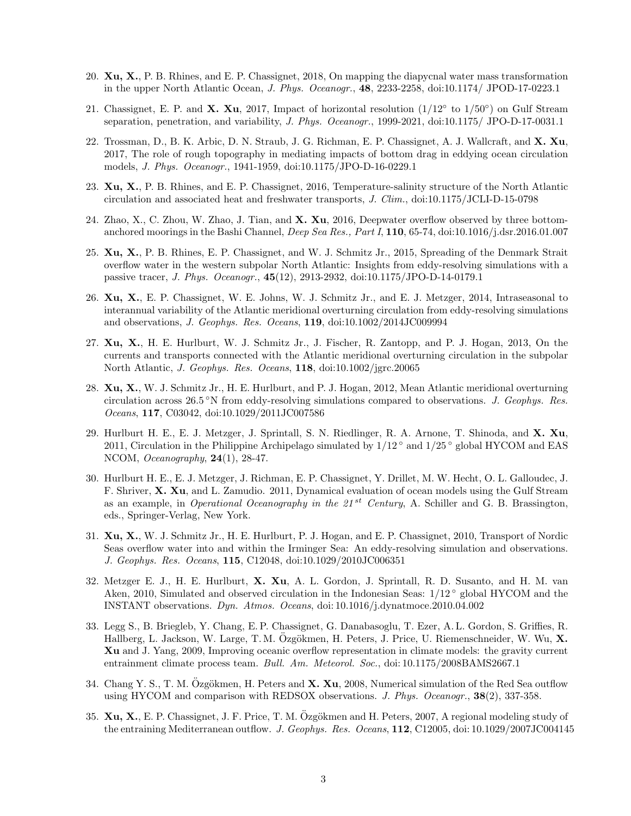- 20. Xu, X., P. B. Rhines, and E. P. Chassignet, 2018, On mapping the diapycnal water mass transformation in the upper North Atlantic Ocean, J. Phys. Oceanogr., 48, 2233-2258, doi:10.1174/ JPOD-17-0223.1
- 21. Chassignet, E. P. and X. Xu, 2017, Impact of horizontal resolution  $(1/12°$  to  $1/50°)$  on Gulf Stream separation, penetration, and variability, J. Phys. Oceanogr., 1999-2021, doi:10.1175/ JPO-D-17-0031.1
- 22. Trossman, D., B. K. Arbic, D. N. Straub, J. G. Richman, E. P. Chassignet, A. J. Wallcraft, and X. Xu, 2017, The role of rough topography in mediating impacts of bottom drag in eddying ocean circulation models, J. Phys. Oceanogr., 1941-1959, doi:10.1175/JPO-D-16-0229.1
- 23. Xu, X., P. B. Rhines, and E. P. Chassignet, 2016, Temperature-salinity structure of the North Atlantic circulation and associated heat and freshwater transports, J. Clim., doi:10.1175/JCLI-D-15-0798
- 24. Zhao, X., C. Zhou, W. Zhao, J. Tian, and X. Xu, 2016, Deepwater overflow observed by three bottomanchored moorings in the Bashi Channel, Deep Sea Res., Part I, 110, 65-74, doi:10.1016/j.dsr.2016.01.007
- 25. Xu, X., P. B. Rhines, E. P. Chassignet, and W. J. Schmitz Jr., 2015, Spreading of the Denmark Strait overflow water in the western subpolar North Atlantic: Insights from eddy-resolving simulations with a passive tracer, J. Phys. Oceanogr., 45(12), 2913-2932, doi:10.1175/JPO-D-14-0179.1
- 26. Xu, X., E. P. Chassignet, W. E. Johns, W. J. Schmitz Jr., and E. J. Metzger, 2014, Intraseasonal to interannual variability of the Atlantic meridional overturning circulation from eddy-resolving simulations and observations, J. Geophys. Res. Oceans, 119, doi:10.1002/2014JC009994
- 27. Xu, X., H. E. Hurlburt, W. J. Schmitz Jr., J. Fischer, R. Zantopp, and P. J. Hogan, 2013, On the currents and transports connected with the Atlantic meridional overturning circulation in the subpolar North Atlantic, J. Geophys. Res. Oceans, 118, doi:10.1002/jgrc.20065
- 28. Xu, X., W. J. Schmitz Jr., H. E. Hurlburt, and P. J. Hogan, 2012, Mean Atlantic meridional overturning circulation across 26.5 °N from eddy-resolving simulations compared to observations. J. Geophys. Res. Oceans, 117, C03042, doi:10.1029/2011JC007586
- 29. Hurlburt H. E., E. J. Metzger, J. Sprintall, S. N. Riedlinger, R. A. Arnone, T. Shinoda, and X. Xu, 2011, Circulation in the Philippine Archipelago simulated by 1/12 ◦ and 1/25 ◦ global HYCOM and EAS NCOM, Oceanography, 24(1), 28-47.
- 30. Hurlburt H. E., E. J. Metzger, J. Richman, E. P. Chassignet, Y. Drillet, M. W. Hecht, O. L. Galloudec, J. F. Shriver, X. Xu, and L. Zamudio. 2011, Dynamical evaluation of ocean models using the Gulf Stream as an example, in *Operational Oceanography in the 21*<sup>st</sup> Century, A. Schiller and G. B. Brassington, eds., Springer-Verlag, New York.
- 31. Xu, X., W. J. Schmitz Jr., H. E. Hurlburt, P. J. Hogan, and E. P. Chassignet, 2010, Transport of Nordic Seas overflow water into and within the Irminger Sea: An eddy-resolving simulation and observations. J. Geophys. Res. Oceans, 115, C12048, doi:10.1029/2010JC006351
- 32. Metzger E. J., H. E. Hurlburt, X. Xu, A. L. Gordon, J. Sprintall, R. D. Susanto, and H. M. van Aken, 2010, Simulated and observed circulation in the Indonesian Seas: 1/12 ◦ global HYCOM and the INSTANT observations. Dyn. Atmos. Oceans, doi: 10.1016/j.dynatmoce.2010.04.002
- 33. Legg S., B. Briegleb, Y. Chang, E. P. Chassignet, G. Danabasoglu, T. Ezer, A. L. Gordon, S. Griffies, R. Hallberg, L. Jackson, W. Large, T. M. Ozgökmen, H. Peters, J. Price, U. Riemenschneider, W. Wu, X. Xu and J. Yang, 2009, Improving oceanic overflow representation in climate models: the gravity current entrainment climate process team. Bull. Am. Meteorol. Soc., doi: 10.1175/2008BAMS2667.1
- 34. Chang Y. S., T. M. Özgökmen, H. Peters and  $\bf{X. Xu,}$  2008, Numerical simulation of the Red Sea outflow using HYCOM and comparison with REDSOX observations. J. Phys. Oceanogr., 38(2), 337-358.
- 35. Xu, X., E. P. Chassignet, J. F. Price, T. M. Özgökmen and H. Peters, 2007, A regional modeling study of the entraining Mediterranean outflow. J. Geophys. Res. Oceans, 112, C12005, doi: 10.1029/2007JC004145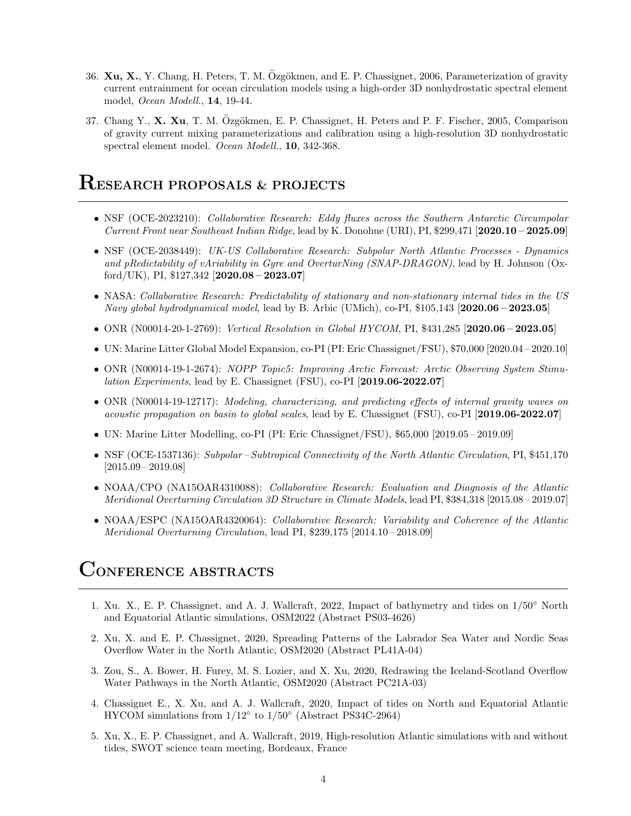- 36. Xu, X., Y. Chang, H. Peters, T. M. Özgökmen, and E. P. Chassignet, 2006, Parameterization of gravity current entrainment for ocean circulation models using a high-order 3D nonhydrostatic spectral element model, Ocean Modell., 14, 19-44.
- 37. Chang Y.,  $\bf{X}$ ,  $\bf{X}$ u, T. M. Özgökmen, E. P. Chassignet, H. Peters and P. F. Fischer, 2005, Comparison of gravity current mixing parameterizations and calibration using a high-resolution 3D nonhydrostatic spectral element model. Ocean Modell., 10, 342-368.

#### RESEARCH PROPOSALS & PROJECTS

- NSF (OCE-2023210): Collaborative Research: Eddy fluxes across the Southern Antarctic Circumpolar Current Front near Southeast Indian Ridge, lead by K. Donohue (URI), PI, \$299,471 [2020.10 – 2025.09]
- NSF (OCE-2038449): UK-US Collaborative Research: Subpolar North Atlantic Processes Dynamics and pRedictability of vAriability in Gyre and OverturNing (SNAP-DRAGON), lead by H. Johnson (Oxford/UK), PI,  $$127,342$  [2020.08 – 2023.07]
- NASA: Collaborative Research: Predictability of stationary and non-stationary internal tides in the US Navy global hydrodynamical model, lead by B. Arbic (UMich), co-PI, \$105,143 [2020.06 – 2023.05]
- ONR (N00014-20-1-2769): Vertical Resolution in Global HYCOM, PI, \$431,285 [2020.06 2023.05]
- UN: Marine Litter Global Model Expansion, co-PI (PI: Eric Chassignet/FSU), \$70,000 [2020.04 2020.10]
- ONR (N00014-19-1-2674): NOPP Topic5: Improving Arctic Forecast: Arctic Observing System Stimulation Experiments, lead by E. Chassignet (FSU), co-PI [2019.06-2022.07]
- ONR (N00014-19-12717): Modeling, characterizing, and predicting effects of internal gravity waves on acoustic propagation on basin to global scales, lead by E. Chassignet (FSU), co-PI [2019.06-2022.07]
- UN: Marine Litter Modelling, co-PI (PI: Eric Chassignet/FSU), \$65,000 [2019.05 2019.09]
- NSF (OCE-1537136): Subpolar Subtropical Connectivity of the North Atlantic Circulation, PI, \$451,170 [2015.09 – 2019.08]
- NOAA/CPO (NA15OAR4310088): Collaborative Research: Evaluation and Diagnosis of the Atlantic Meridional Overturning Circulation 3D Structure in Climate Models, lead PI, \$384,318 [2015.08 – 2019.07]
- NOAA/ESPC (NA15OAR4320064): Collaborative Research: Variability and Coherence of the Atlantic Meridional Overturning Circulation, lead PI, \$239,175 [2014.10 – 2018.09]

#### CONFERENCE ABSTRACTS

- 1. Xu. X., E. P. Chassignet, and A. J. Wallcraft, 2022, Impact of bathymetry and tides on 1/50◦ North and Equatorial Atlantic simulations, OSM2022 (Abstract PS03-4626)
- 2. Xu, X. and E. P. Chassignet, 2020, Spreading Patterns of the Labrador Sea Water and Nordic Seas Overflow Water in the North Atlantic, OSM2020 (Abstract PL41A-04)
- 3. Zou, S., A. Bower, H. Furey, M. S. Lozier, and X. Xu, 2020, Redrawing the Iceland-Scotland Overflow Water Pathways in the North Atlantic, OSM2020 (Abstract PC21A-03)
- 4. Chassignet E., X. Xu, and A. J. Wallcraft, 2020, Impact of tides on North and Equatorial Atlantic HYCOM simulations from 1/12◦ to 1/50◦ (Abstract PS34C-2964)
- 5. Xu, X., E. P. Chassignet, and A. Wallcraft, 2019, High-resolution Atlantic simulations with and without tides, SWOT science team meeting, Bordeaux, France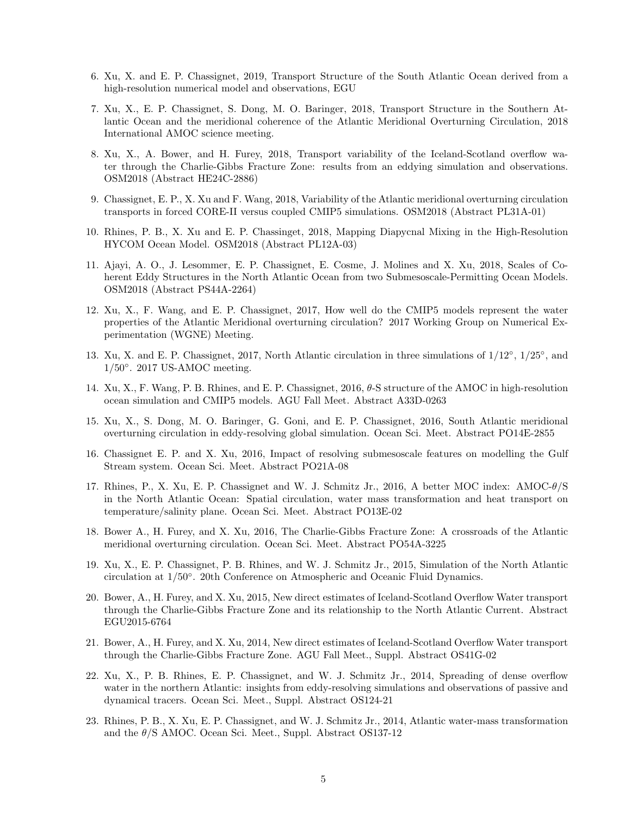- 6. Xu, X. and E. P. Chassignet, 2019, Transport Structure of the South Atlantic Ocean derived from a high-resolution numerical model and observations, EGU
- 7. Xu, X., E. P. Chassignet, S. Dong, M. O. Baringer, 2018, Transport Structure in the Southern Atlantic Ocean and the meridional coherence of the Atlantic Meridional Overturning Circulation, 2018 International AMOC science meeting.
- 8. Xu, X., A. Bower, and H. Furey, 2018, Transport variability of the Iceland-Scotland overflow water through the Charlie-Gibbs Fracture Zone: results from an eddying simulation and observations. OSM2018 (Abstract HE24C-2886)
- 9. Chassignet, E. P., X. Xu and F. Wang, 2018, Variability of the Atlantic meridional overturning circulation transports in forced CORE-II versus coupled CMIP5 simulations. OSM2018 (Abstract PL31A-01)
- 10. Rhines, P. B., X. Xu and E. P. Chassinget, 2018, Mapping Diapycnal Mixing in the High-Resolution HYCOM Ocean Model. OSM2018 (Abstract PL12A-03)
- 11. Ajayi, A. O., J. Lesommer, E. P. Chassignet, E. Cosme, J. Molines and X. Xu, 2018, Scales of Coherent Eddy Structures in the North Atlantic Ocean from two Submesoscale-Permitting Ocean Models. OSM2018 (Abstract PS44A-2264)
- 12. Xu, X., F. Wang, and E. P. Chassignet, 2017, How well do the CMIP5 models represent the water properties of the Atlantic Meridional overturning circulation? 2017 Working Group on Numerical Experimentation (WGNE) Meeting.
- 13. Xu, X. and E. P. Chassignet, 2017, North Atlantic circulation in three simulations of 1/12°, 1/25°, and 1/50°. 2017 US-AMOC meeting.
- 14. Xu, X., F. Wang, P. B. Rhines, and E. P. Chassignet, 2016, θ-S structure of the AMOC in high-resolution ocean simulation and CMIP5 models. AGU Fall Meet. Abstract A33D-0263
- 15. Xu, X., S. Dong, M. O. Baringer, G. Goni, and E. P. Chassignet, 2016, South Atlantic meridional overturning circulation in eddy-resolving global simulation. Ocean Sci. Meet. Abstract PO14E-2855
- 16. Chassignet E. P. and X. Xu, 2016, Impact of resolving submesoscale features on modelling the Gulf Stream system. Ocean Sci. Meet. Abstract PO21A-08
- 17. Rhines, P., X. Xu, E. P. Chassignet and W. J. Schmitz Jr., 2016, A better MOC index: AMOC-θ/S in the North Atlantic Ocean: Spatial circulation, water mass transformation and heat transport on temperature/salinity plane. Ocean Sci. Meet. Abstract PO13E-02
- 18. Bower A., H. Furey, and X. Xu, 2016, The Charlie-Gibbs Fracture Zone: A crossroads of the Atlantic meridional overturning circulation. Ocean Sci. Meet. Abstract PO54A-3225
- 19. Xu, X., E. P. Chassignet, P. B. Rhines, and W. J. Schmitz Jr., 2015, Simulation of the North Atlantic circulation at 1/50◦ . 20th Conference on Atmospheric and Oceanic Fluid Dynamics.
- 20. Bower, A., H. Furey, and X. Xu, 2015, New direct estimates of Iceland-Scotland Overflow Water transport through the Charlie-Gibbs Fracture Zone and its relationship to the North Atlantic Current. Abstract EGU2015-6764
- 21. Bower, A., H. Furey, and X. Xu, 2014, New direct estimates of Iceland-Scotland Overflow Water transport through the Charlie-Gibbs Fracture Zone. AGU Fall Meet., Suppl. Abstract OS41G-02
- 22. Xu, X., P. B. Rhines, E. P. Chassignet, and W. J. Schmitz Jr., 2014, Spreading of dense overflow water in the northern Atlantic: insights from eddy-resolving simulations and observations of passive and dynamical tracers. Ocean Sci. Meet., Suppl. Abstract OS124-21
- 23. Rhines, P. B., X. Xu, E. P. Chassignet, and W. J. Schmitz Jr., 2014, Atlantic water-mass transformation and the  $\theta$ /S AMOC. Ocean Sci. Meet., Suppl. Abstract OS137-12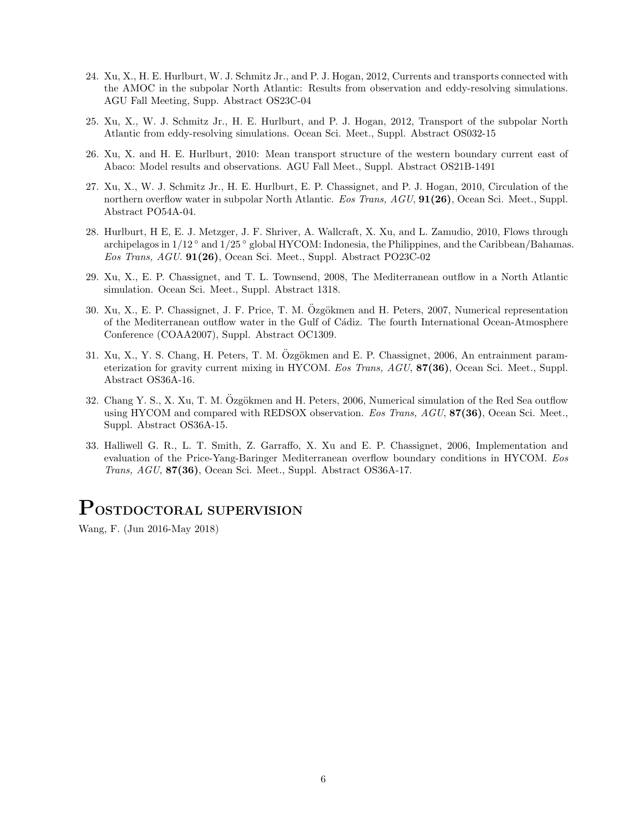- 24. Xu, X., H. E. Hurlburt, W. J. Schmitz Jr., and P. J. Hogan, 2012, Currents and transports connected with the AMOC in the subpolar North Atlantic: Results from observation and eddy-resolving simulations. AGU Fall Meeting, Supp. Abstract OS23C-04
- 25. Xu, X., W. J. Schmitz Jr., H. E. Hurlburt, and P. J. Hogan, 2012, Transport of the subpolar North Atlantic from eddy-resolving simulations. Ocean Sci. Meet., Suppl. Abstract OS032-15
- 26. Xu, X. and H. E. Hurlburt, 2010: Mean transport structure of the western boundary current east of Abaco: Model results and observations. AGU Fall Meet., Suppl. Abstract OS21B-1491
- 27. Xu, X., W. J. Schmitz Jr., H. E. Hurlburt, E. P. Chassignet, and P. J. Hogan, 2010, Circulation of the northern overflow water in subpolar North Atlantic. Eos Trans, AGU, 91(26), Ocean Sci. Meet., Suppl. Abstract PO54A-04.
- 28. Hurlburt, H E, E. J. Metzger, J. F. Shriver, A. Wallcraft, X. Xu, and L. Zamudio, 2010, Flows through archipelagos in 1/12 ◦ and 1/25 ◦ global HYCOM: Indonesia, the Philippines, and the Caribbean/Bahamas. Eos Trans, AGU. 91(26), Ocean Sci. Meet., Suppl. Abstract PO23C-02
- 29. Xu, X., E. P. Chassignet, and T. L. Townsend, 2008, The Mediterranean outflow in a North Atlantic simulation. Ocean Sci. Meet., Suppl. Abstract 1318.
- 30. Xu, X., E. P. Chassignet, J. F. Price, T. M. Özgökmen and H. Peters, 2007, Numerical representation of the Mediterranean outflow water in the Gulf of Cádiz. The fourth International Ocean-Atmosphere Conference (COAA2007), Suppl. Abstract OC1309.
- 31. Xu, X., Y. S. Chang, H. Peters, T. M. Özgökmen and E. P. Chassignet, 2006, An entrainment parameterization for gravity current mixing in HYCOM. Eos Trans, AGU, 87(36), Ocean Sci. Meet., Suppl. Abstract OS36A-16.
- 32. Chang Y. S., X. Xu, T. M. Özgökmen and H. Peters, 2006, Numerical simulation of the Red Sea outflow using HYCOM and compared with REDSOX observation. Eos Trans, AGU, 87(36), Ocean Sci. Meet., Suppl. Abstract OS36A-15.
- 33. Halliwell G. R., L. T. Smith, Z. Garraffo, X. Xu and E. P. Chassignet, 2006, Implementation and evaluation of the Price-Yang-Baringer Mediterranean overflow boundary conditions in HYCOM. Eos Trans, AGU, 87(36), Ocean Sci. Meet., Suppl. Abstract OS36A-17.

### POSTDOCTORAL SUPERVISION

Wang, F. (Jun 2016-May 2018)